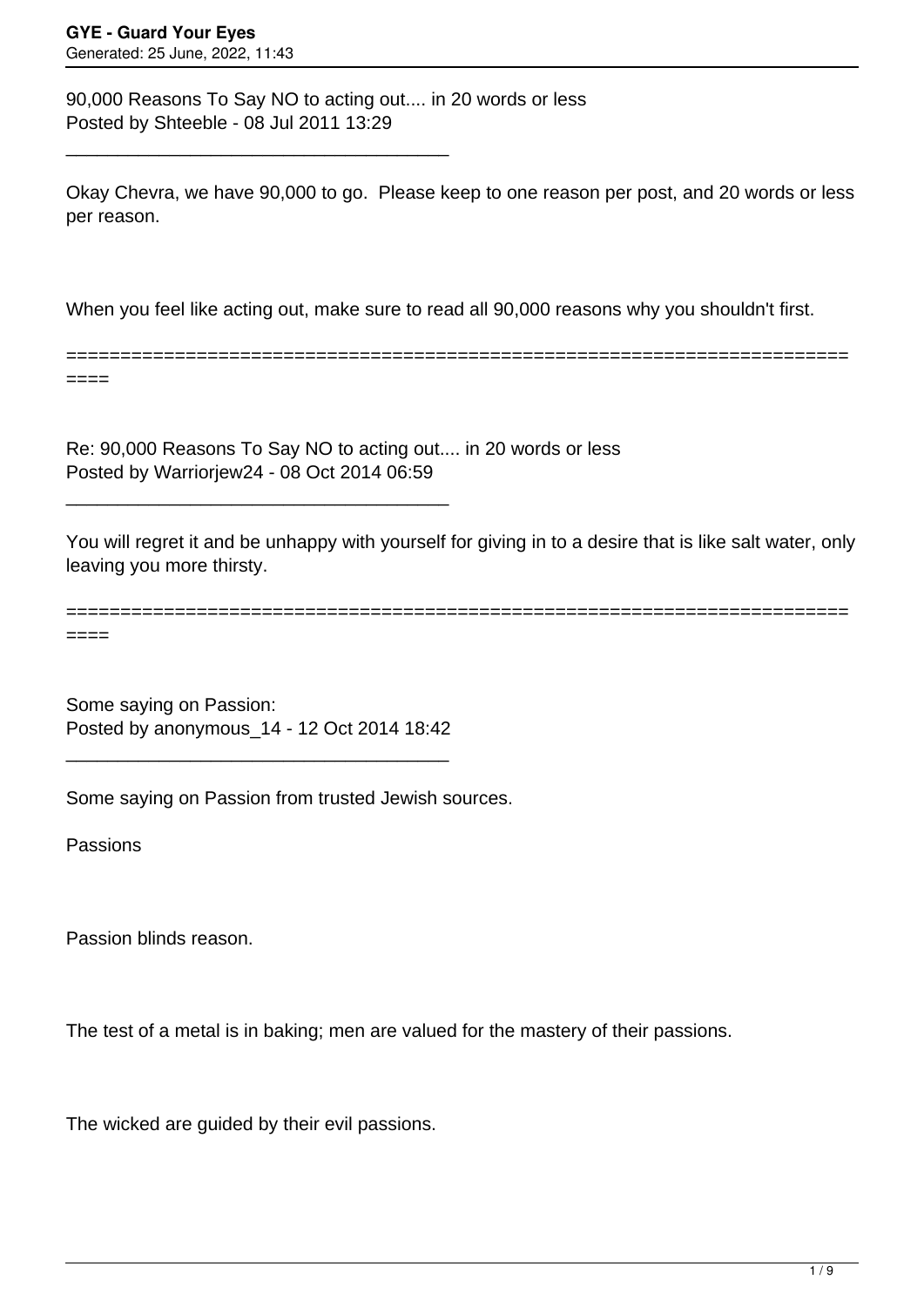90,000 Reasons To Say NO to acting out.... in 20 words or less Posted by Shteeble - 08 Jul 2011 13:29

\_\_\_\_\_\_\_\_\_\_\_\_\_\_\_\_\_\_\_\_\_\_\_\_\_\_\_\_\_\_\_\_\_\_\_\_\_

Okay Chevra, we have 90,000 to go. Please keep to one reason per post, and 20 words or less per reason.

When you feel like acting out, make sure to read all 90,000 reasons why you shouldn't first.

======================================================================== ====

Re: 90,000 Reasons To Say NO to acting out.... in 20 words or less Posted by Warriorjew24 - 08 Oct 2014 06:59

You will regret it and be unhappy with yourself for giving in to a desire that is like salt water, only leaving you more thirsty.

======================================================================== ====

Some saying on Passion: Posted by anonymous\_14 - 12 Oct 2014 18:42

\_\_\_\_\_\_\_\_\_\_\_\_\_\_\_\_\_\_\_\_\_\_\_\_\_\_\_\_\_\_\_\_\_\_\_\_\_

\_\_\_\_\_\_\_\_\_\_\_\_\_\_\_\_\_\_\_\_\_\_\_\_\_\_\_\_\_\_\_\_\_\_\_\_\_

Some saying on Passion from trusted Jewish sources.

Passions

Passion blinds reason.

The test of a metal is in baking; men are valued for the mastery of their passions.

The wicked are guided by their evil passions.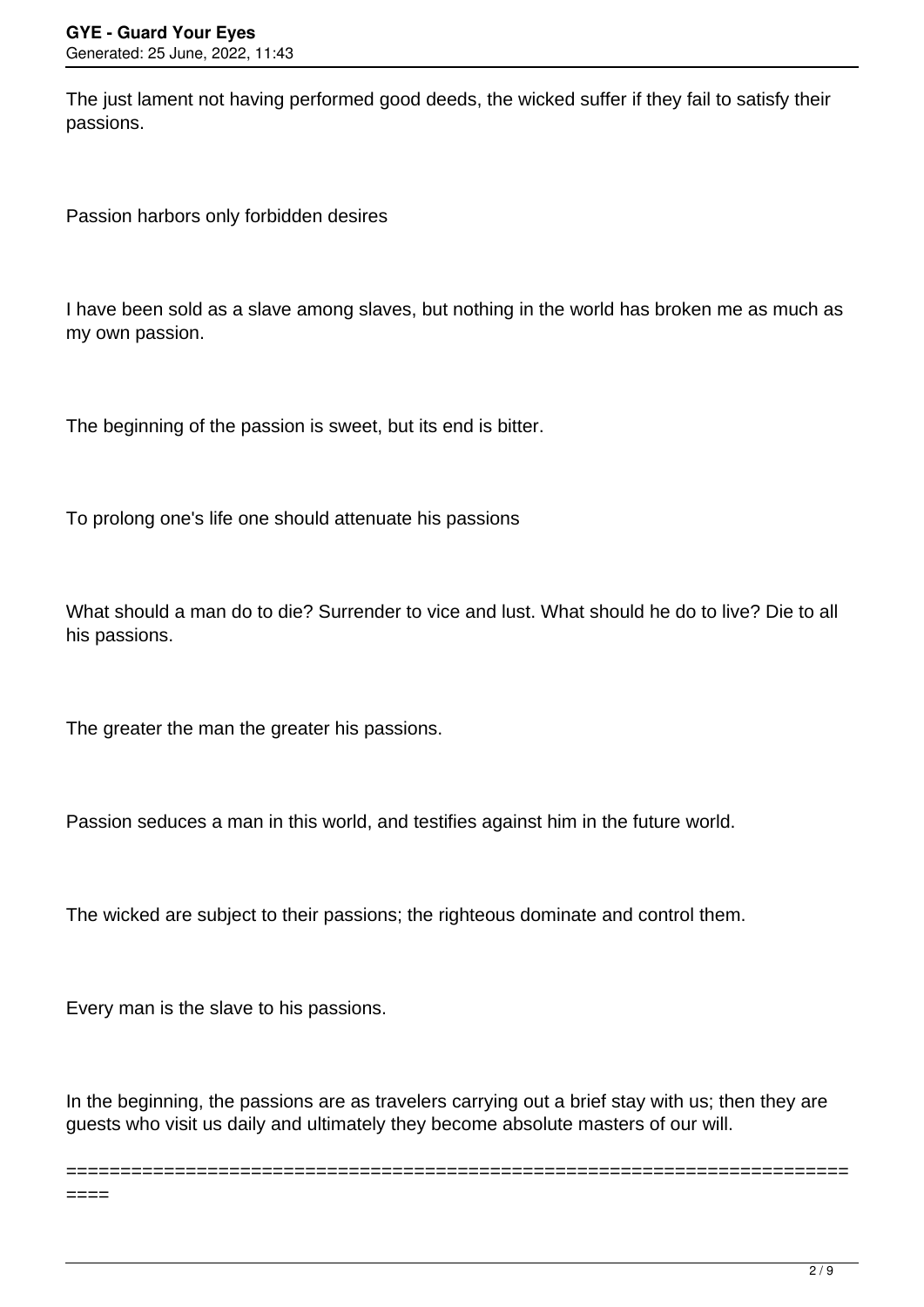The just lament not having performed good deeds, the wicked suffer if they fail to satisfy their passions.

Passion harbors only forbidden desires

I have been sold as a slave among slaves, but nothing in the world has broken me as much as my own passion.

The beginning of the passion is sweet, but its end is bitter.

To prolong one's life one should attenuate his passions

What should a man do to die? Surrender to vice and lust. What should he do to live? Die to all his passions.

The greater the man the greater his passions.

Passion seduces a man in this world, and testifies against him in the future world.

The wicked are subject to their passions; the righteous dominate and control them.

Every man is the slave to his passions.

In the beginning, the passions are as travelers carrying out a brief stay with us; then they are guests who visit us daily and ultimately they become absolute masters of our will.

========================================================================

 $====$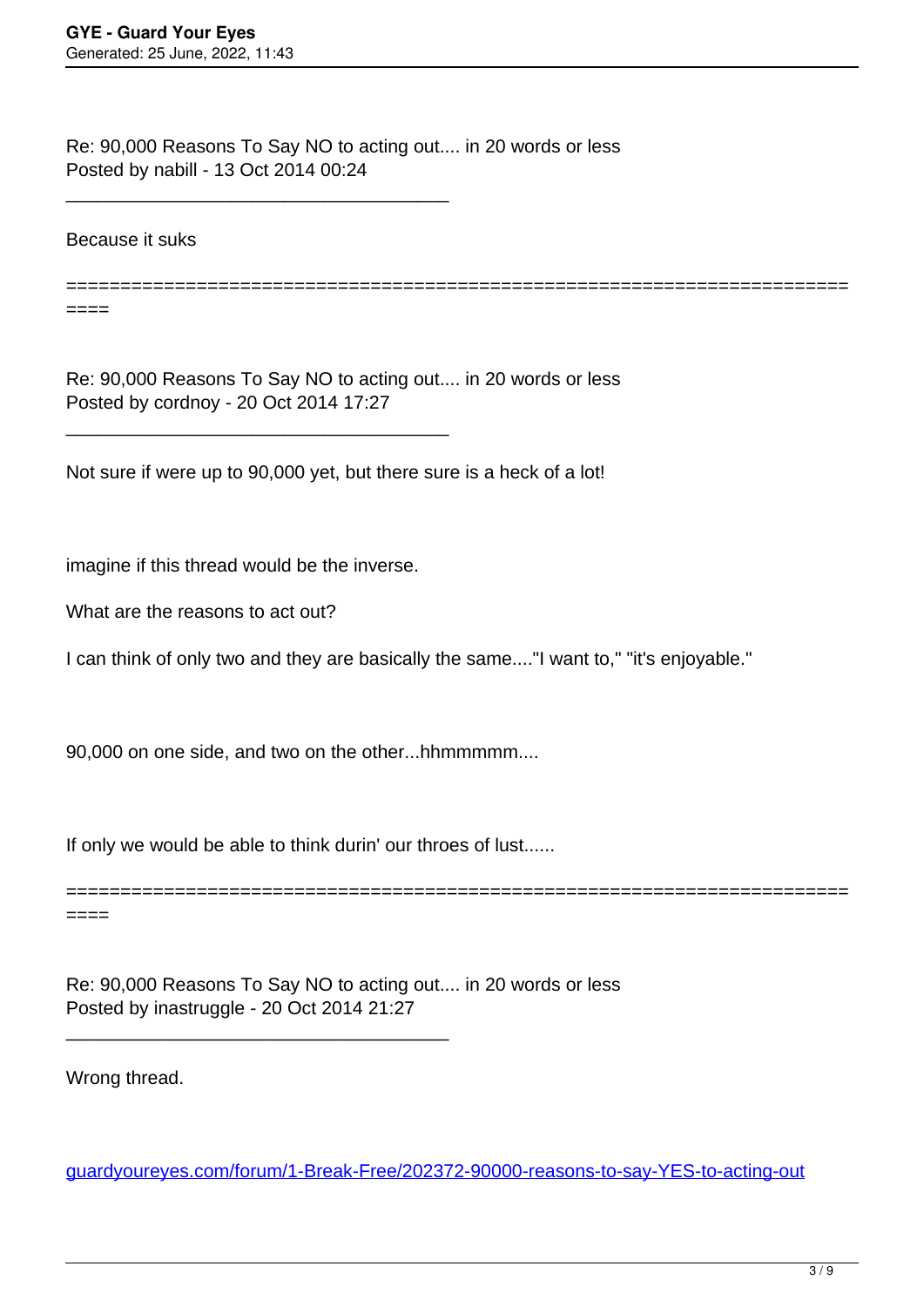Re: 90,000 Reasons To Say NO to acting out.... in 20 words or less Posted by nabill - 13 Oct 2014 00:24

Because it suks

====

========================================================================

Re: 90,000 Reasons To Say NO to acting out.... in 20 words or less Posted by cordnoy - 20 Oct 2014 17:27

Not sure if were up to 90,000 yet, but there sure is a heck of a lot!

imagine if this thread would be the inverse.

\_\_\_\_\_\_\_\_\_\_\_\_\_\_\_\_\_\_\_\_\_\_\_\_\_\_\_\_\_\_\_\_\_\_\_\_\_

\_\_\_\_\_\_\_\_\_\_\_\_\_\_\_\_\_\_\_\_\_\_\_\_\_\_\_\_\_\_\_\_\_\_\_\_\_

What are the reasons to act out?

I can think of only two and they are basically the same...."I want to," "it's enjoyable."

90,000 on one side, and two on the other...hhmmmmm....

If only we would be able to think durin' our throes of lust......

\_\_\_\_\_\_\_\_\_\_\_\_\_\_\_\_\_\_\_\_\_\_\_\_\_\_\_\_\_\_\_\_\_\_\_\_\_

======================================================================== ====

Re: 90,000 Reasons To Say NO to acting out.... in 20 words or less Posted by inastruggle - 20 Oct 2014 21:27

Wrong thread.

[guardyoureyes.com/forum/1-Break-Free/202372-90000-reasons-to-say-YES-to-acting-out](https://guardyoureyes.com/forum/1-Break-Free/202372-90000-reasons-to-say-YES-to-acting-out)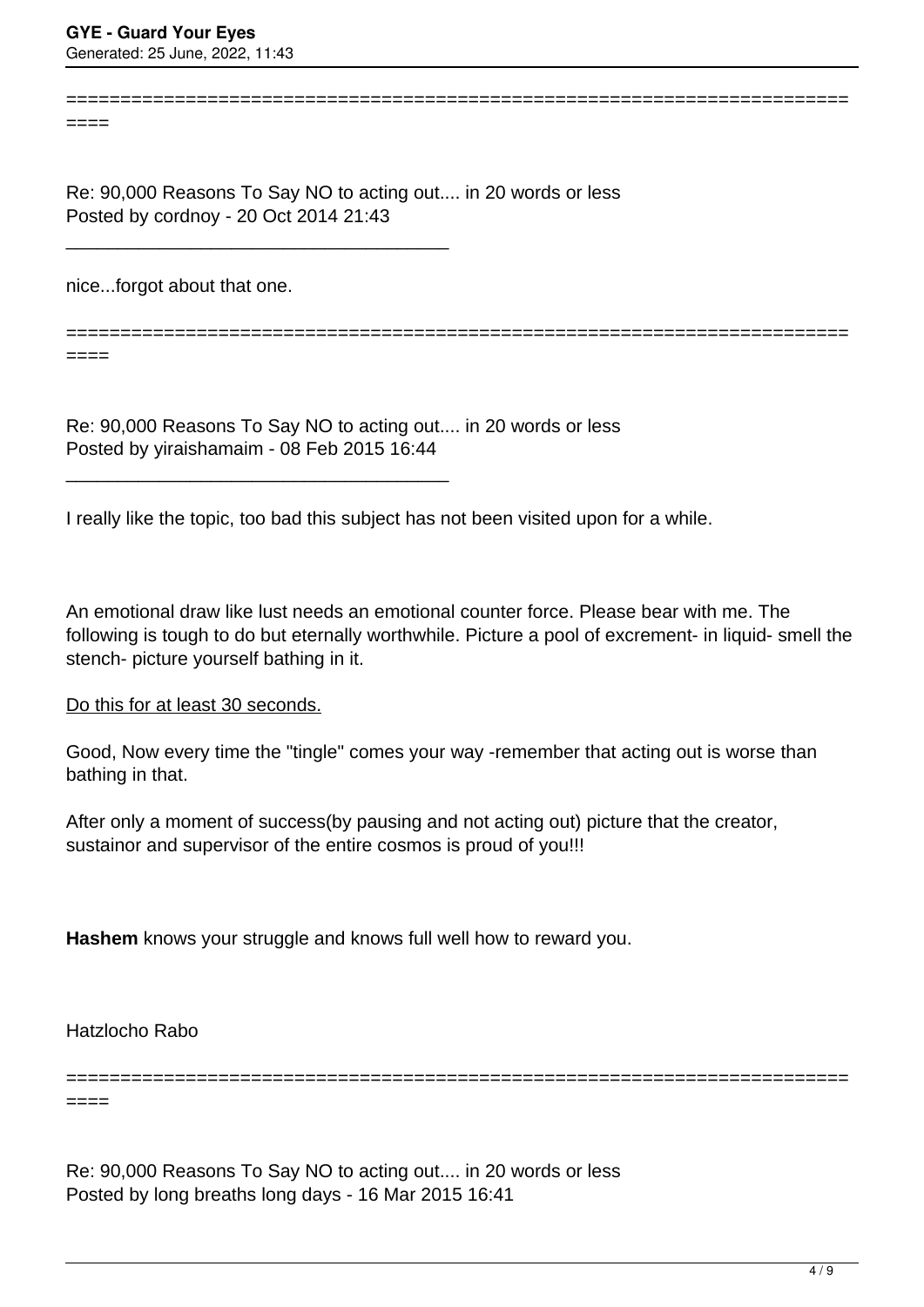====

Re: 90,000 Reasons To Say NO to acting out.... in 20 words or less Posted by cordnoy - 20 Oct 2014 21:43

nice...forgot about that one.

\_\_\_\_\_\_\_\_\_\_\_\_\_\_\_\_\_\_\_\_\_\_\_\_\_\_\_\_\_\_\_\_\_\_\_\_\_

\_\_\_\_\_\_\_\_\_\_\_\_\_\_\_\_\_\_\_\_\_\_\_\_\_\_\_\_\_\_\_\_\_\_\_\_\_

========================================================================

========================================================================

====

Re: 90,000 Reasons To Say NO to acting out.... in 20 words or less Posted by yiraishamaim - 08 Feb 2015 16:44

I really like the topic, too bad this subject has not been visited upon for a while.

An emotional draw like lust needs an emotional counter force. Please bear with me. The following is tough to do but eternally worthwhile. Picture a pool of excrement- in liquid- smell the stench- picture yourself bathing in it.

Do this for at least 30 seconds.

Good, Now every time the "tingle" comes your way -remember that acting out is worse than bathing in that.

After only a moment of success(by pausing and not acting out) picture that the creator, sustainor and supervisor of the entire cosmos is proud of you!!!

**Hashem** knows your struggle and knows full well how to reward you.

Hatzlocho Rabo

======================================================================== ====

Re: 90,000 Reasons To Say NO to acting out.... in 20 words or less Posted by long breaths long days - 16 Mar 2015 16:41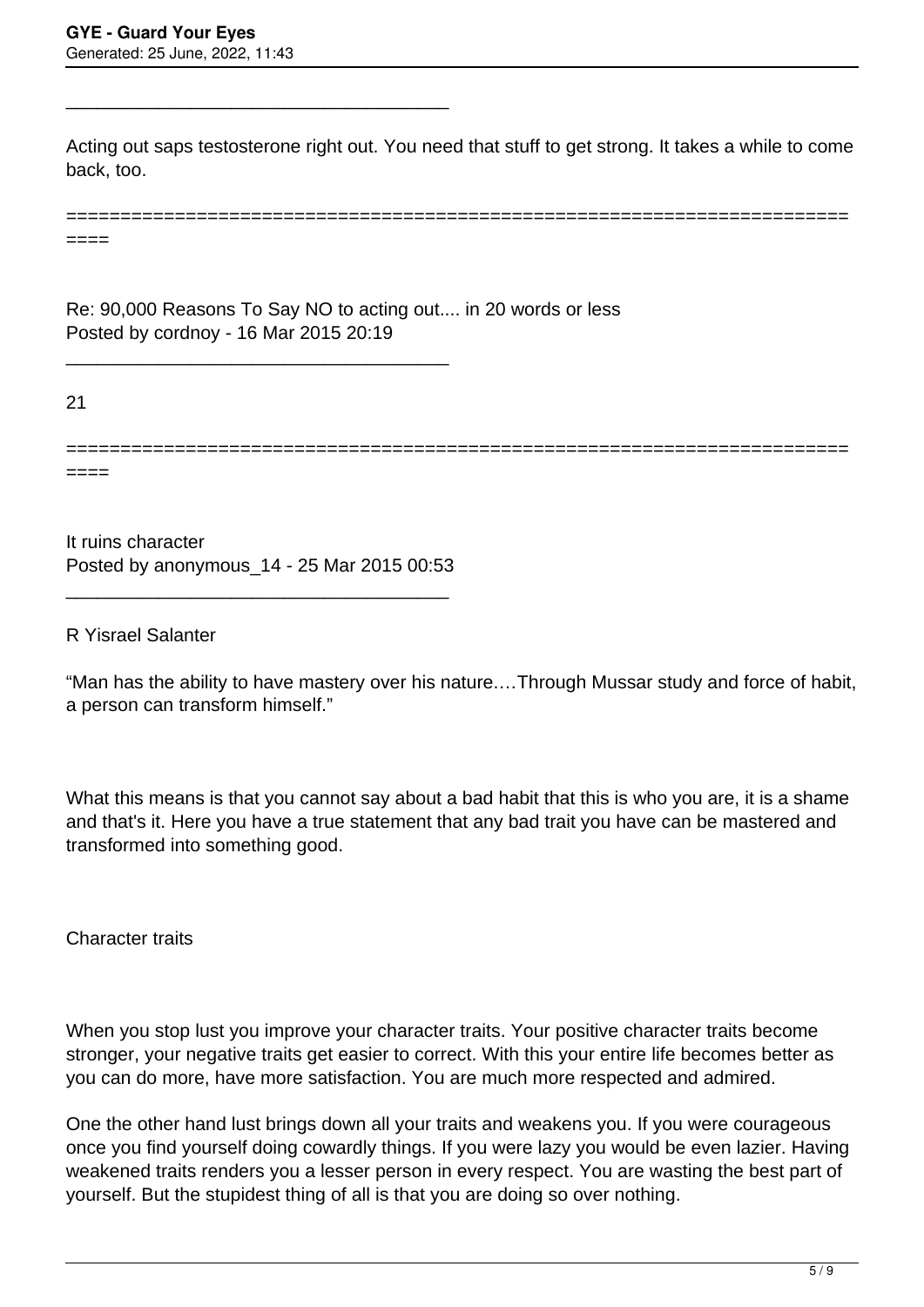\_\_\_\_\_\_\_\_\_\_\_\_\_\_\_\_\_\_\_\_\_\_\_\_\_\_\_\_\_\_\_\_\_\_\_\_\_

Acting out saps testosterone right out. You need that stuff to get strong. It takes a while to come back, too.

| _____<br>_____ |  |  |  |
|----------------|--|--|--|
|                |  |  |  |

Re: 90,000 Reasons To Say NO to acting out.... in 20 words or less Posted by cordnoy - 16 Mar 2015 20:19

21

====

========================================================================

It ruins character Posted by anonymous\_14 - 25 Mar 2015 00:53

\_\_\_\_\_\_\_\_\_\_\_\_\_\_\_\_\_\_\_\_\_\_\_\_\_\_\_\_\_\_\_\_\_\_\_\_\_

\_\_\_\_\_\_\_\_\_\_\_\_\_\_\_\_\_\_\_\_\_\_\_\_\_\_\_\_\_\_\_\_\_\_\_\_\_

R Yisrael Salanter

"Man has the ability to have mastery over his nature.…Through Mussar study and force of habit, a person can transform himself."

What this means is that you cannot say about a bad habit that this is who you are, it is a shame and that's it. Here you have a true statement that any bad trait you have can be mastered and transformed into something good.

Character traits

When you stop lust you improve your character traits. Your positive character traits become stronger, your negative traits get easier to correct. With this your entire life becomes better as you can do more, have more satisfaction. You are much more respected and admired.

One the other hand lust brings down all your traits and weakens you. If you were courageous once you find yourself doing cowardly things. If you were lazy you would be even lazier. Having weakened traits renders you a lesser person in every respect. You are wasting the best part of yourself. But the stupidest thing of all is that you are doing so over nothing.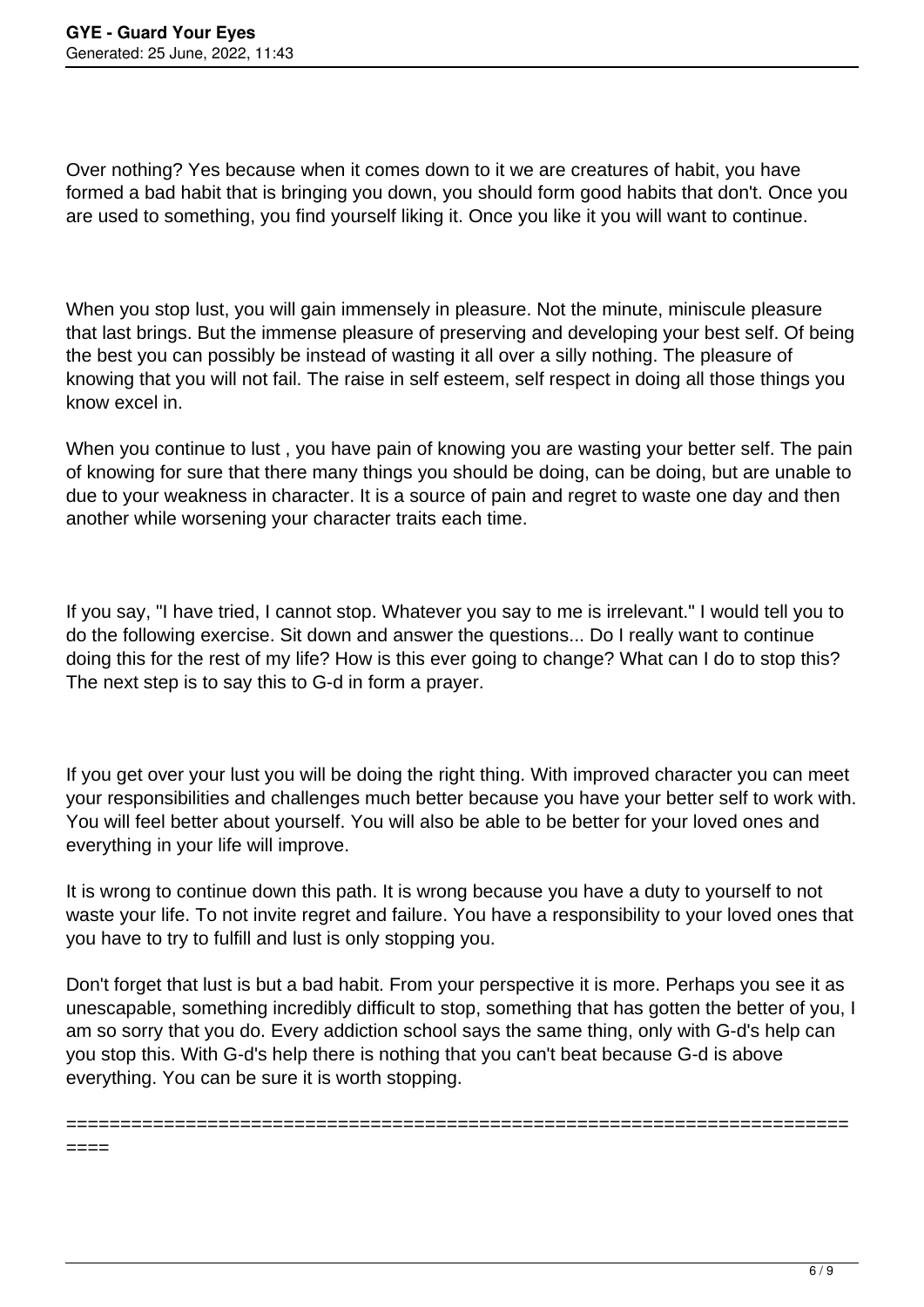====

Over nothing? Yes because when it comes down to it we are creatures of habit, you have formed a bad habit that is bringing you down, you should form good habits that don't. Once you are used to something, you find yourself liking it. Once you like it you will want to continue.

When you stop lust, you will gain immensely in pleasure. Not the minute, miniscule pleasure that last brings. But the immense pleasure of preserving and developing your best self. Of being the best you can possibly be instead of wasting it all over a silly nothing. The pleasure of knowing that you will not fail. The raise in self esteem, self respect in doing all those things you know excel in.

When you continue to lust, you have pain of knowing you are wasting your better self. The pain of knowing for sure that there many things you should be doing, can be doing, but are unable to due to your weakness in character. It is a source of pain and regret to waste one day and then another while worsening your character traits each time.

If you say, "I have tried, I cannot stop. Whatever you say to me is irrelevant." I would tell you to do the following exercise. Sit down and answer the questions... Do I really want to continue doing this for the rest of my life? How is this ever going to change? What can I do to stop this? The next step is to say this to G-d in form a prayer.

If you get over your lust you will be doing the right thing. With improved character you can meet your responsibilities and challenges much better because you have your better self to work with. You will feel better about yourself. You will also be able to be better for your loved ones and everything in your life will improve.

It is wrong to continue down this path. It is wrong because you have a duty to yourself to not waste your life. To not invite regret and failure. You have a responsibility to your loved ones that you have to try to fulfill and lust is only stopping you.

Don't forget that lust is but a bad habit. From your perspective it is more. Perhaps you see it as unescapable, something incredibly difficult to stop, something that has gotten the better of you, I am so sorry that you do. Every addiction school says the same thing, only with G-d's help can you stop this. With G-d's help there is nothing that you can't beat because G-d is above everything. You can be sure it is worth stopping.

========================================================================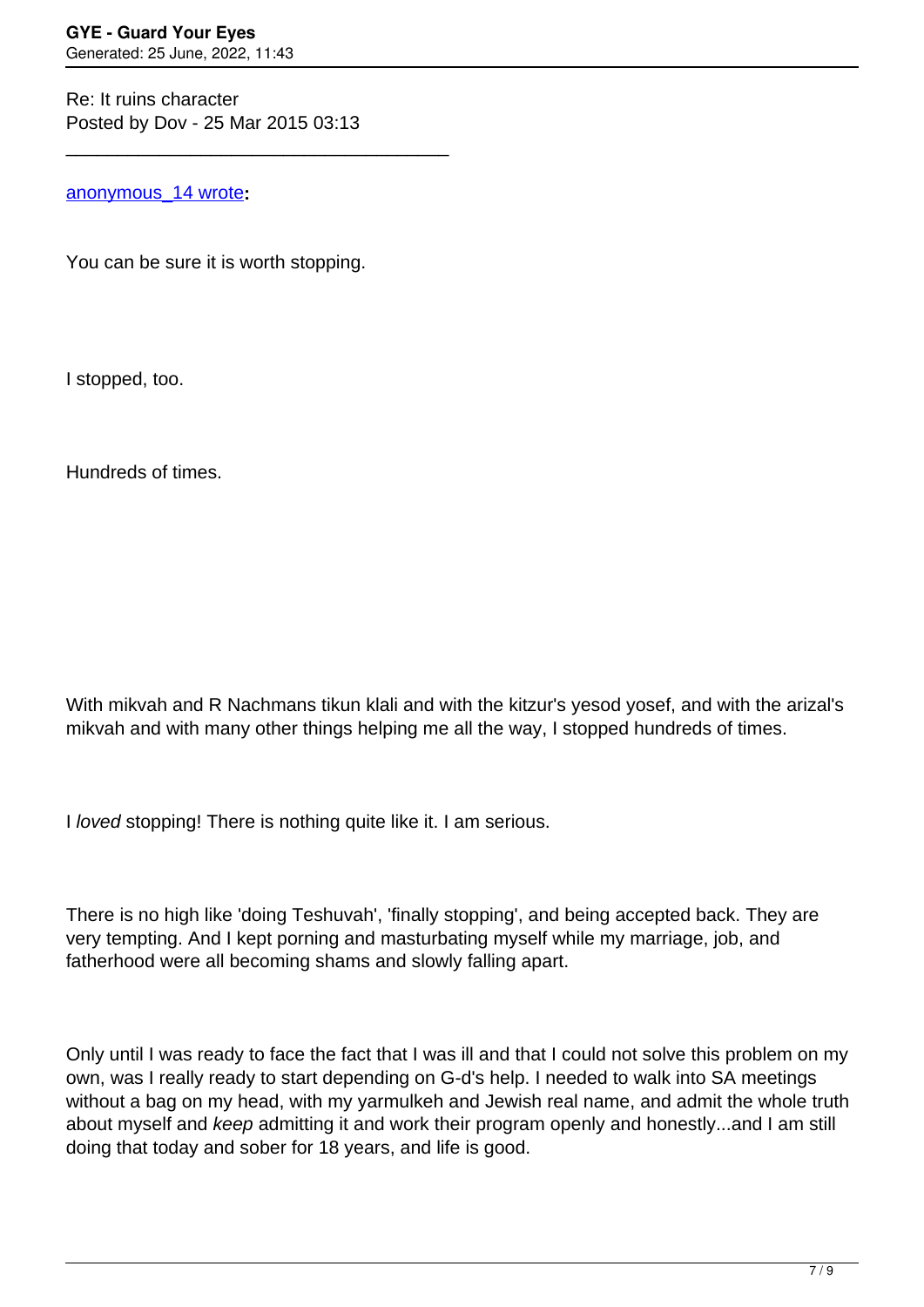Re: It ruins character Posted by Dov - 25 Mar 2015 03:13

\_\_\_\_\_\_\_\_\_\_\_\_\_\_\_\_\_\_\_\_\_\_\_\_\_\_\_\_\_\_\_\_\_\_\_\_\_

[anonymous\\_14 wrote](/forum/id-251182)**:**

You can be sure it is worth stopping.

I stopped, too.

Hundreds of times.

With mikvah and R Nachmans tikun klali and with the kitzur's yesod yosef, and with the arizal's mikvah and with many other things helping me all the way, I stopped hundreds of times.

I loved stopping! There is nothing quite like it. I am serious.

There is no high like 'doing Teshuvah', 'finally stopping', and being accepted back. They are very tempting. And I kept porning and masturbating myself while my marriage, job, and fatherhood were all becoming shams and slowly falling apart.

Only until I was ready to face the fact that I was ill and that I could not solve this problem on my own, was I really ready to start depending on G-d's help. I needed to walk into SA meetings without a bag on my head, with my yarmulkeh and Jewish real name, and admit the whole truth about myself and keep admitting it and work their program openly and honestly...and I am still doing that today and sober for 18 years, and life is good.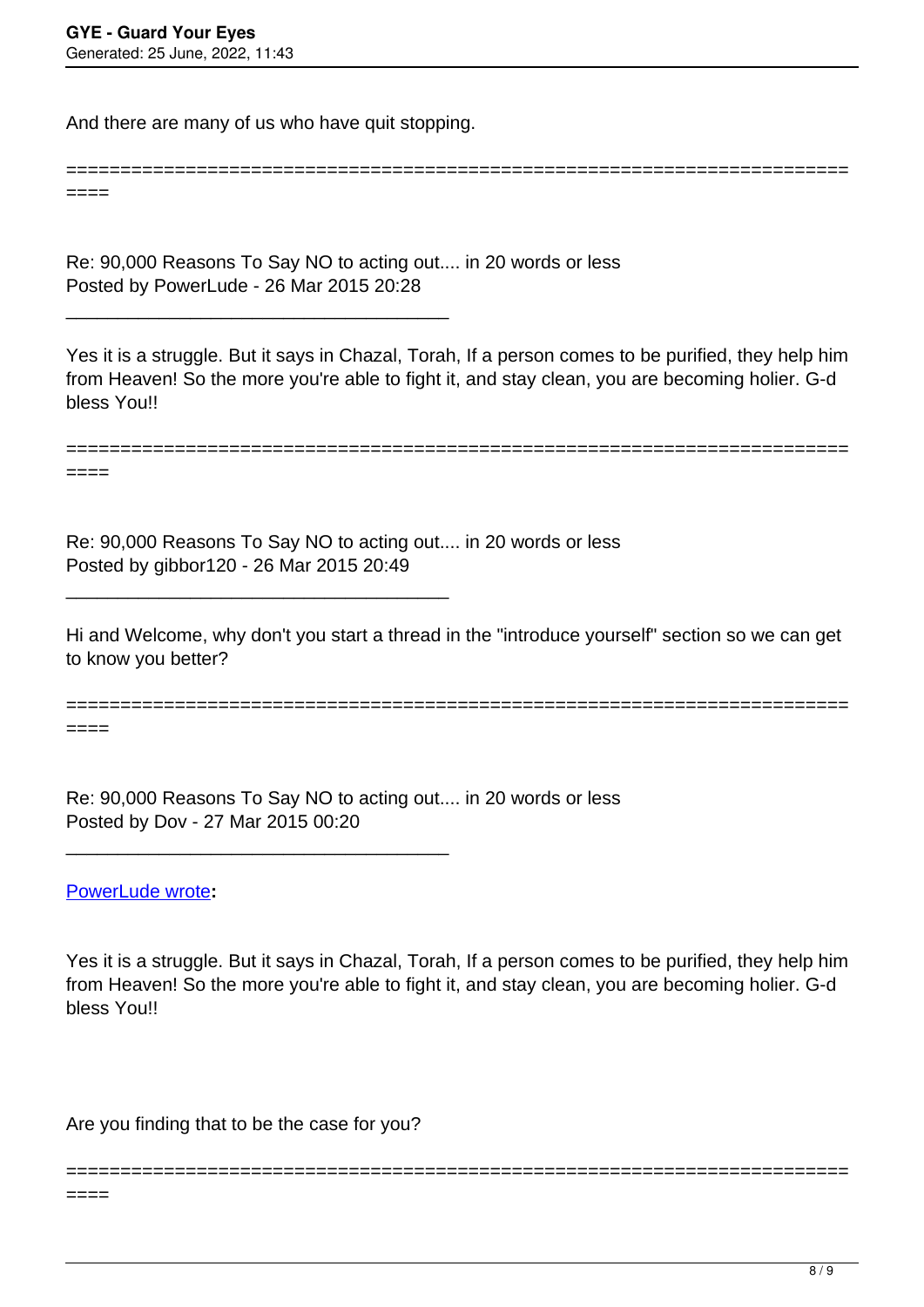And there are many of us who have quit stopping.

\_\_\_\_\_\_\_\_\_\_\_\_\_\_\_\_\_\_\_\_\_\_\_\_\_\_\_\_\_\_\_\_\_\_\_\_\_

\_\_\_\_\_\_\_\_\_\_\_\_\_\_\_\_\_\_\_\_\_\_\_\_\_\_\_\_\_\_\_\_\_\_\_\_\_

\_\_\_\_\_\_\_\_\_\_\_\_\_\_\_\_\_\_\_\_\_\_\_\_\_\_\_\_\_\_\_\_\_\_\_\_\_

====

====

Re: 90,000 Reasons To Say NO to acting out.... in 20 words or less Posted by PowerLude - 26 Mar 2015 20:28

Yes it is a struggle. But it says in Chazal, Torah, If a person comes to be purified, they help him from Heaven! So the more you're able to fight it, and stay clean, you are becoming holier. G-d bless You!!

========================================================================

========================================================================

Re: 90,000 Reasons To Say NO to acting out.... in 20 words or less Posted by gibbor120 - 26 Mar 2015 20:49

Hi and Welcome, why don't you start a thread in the "introduce yourself" section so we can get to know you better?

======================================================================== ====

Re: 90,000 Reasons To Say NO to acting out.... in 20 words or less Posted by Dov - 27 Mar 2015 00:20

[PowerLude wrote](/forum/id-251329)**:**

Yes it is a struggle. But it says in Chazal, Torah, If a person comes to be purified, they help him from Heaven! So the more you're able to fight it, and stay clean, you are becoming holier. G-d bless You!!

========================================================================

Are you finding that to be the case for you?

 $====$